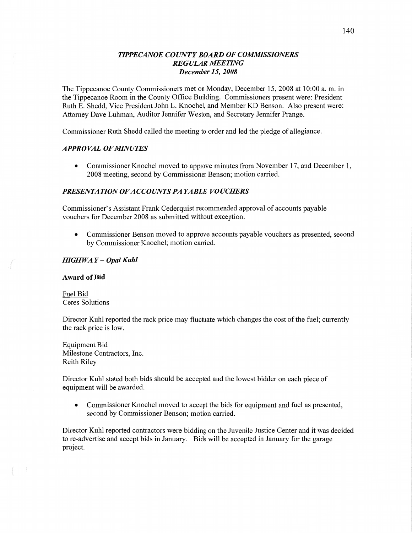## *IIPPECANOE COUYVTY BOARD* OF *COMVHSSIONERS REGULAR AIEEHNG December* 15, *2008*

The Tippecanoe County Commissioners met on Monday, December 15, 2008 at 10:00 a. m. in the Tippecanoe Room in the County Office Building. Commissioners present Were: President Ruth E. Shedd, Vice President John L. Knochel, and Member KD Benson. Also present were: Attorney Dave Luhman, Auditor Jennifer Weston, and Secretary Jennifer Prange.

**Commissioner** Ruth Shedd called the meeting to order and led the pledge of allegiance.

## **APPROVAL OF MINUTES**

**0** Commissioner Knochel moved to approve minutes from November 17, and December 1, 2008 meeting, second by Commissioner Benson; motion carried.

## *PRESENTA T* ION OF *A CCOUNT S* PA *YABLE VOUCHERS*

Commissioner's Assistant Frank Cederquist recommended approval of accounts payable vouchers for December 2008 as submitted without exception.

**0** Commissioner Benson moved to approve accounts payable vouchers as presented, second by Commissioner Knochel; **motion** carried.

## *HIGH* WA *Y* **—** *Opal Kuhl*

#### **Award** of Bid

Fuel Bid Ceres Solutions

Director Kuhl reported the rack price may fluctuate which changes the cost of the fuel; currently the rack price is low.

Equipment Bid Milestone Contractors, Inc. Reith Riley

Director Kuhl stated both **bids** should be accepted and the lowest bidder on each piece of equipment will be awarded.

• Commissioner Knochel moved to accept the bids for equipment and fuel as presented, second by Commissioner Benson; motion carried.

Director Kuhl reported contractors were bidding on the Juvenile Justice Center and it was decided to re-advertise and accept bids in January. Bids will be accepted in January for the garage project.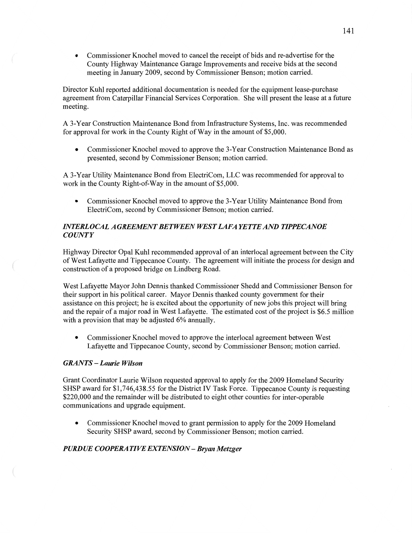**0** Commissioner Knochel moved to cancel the receipt of bids and re-advertise for the County Highway Maintenance Garage Improvements and receive bids at the second meeting in January 2009, second by Commissioner Benson; motion carried.

Director Kuhl reported additional documentation is needed for the equipment lease-purchase agreement from Caterpillar Financial Services Corporation. She will present the lease at a filture meeting.

**A** 3-Year Construction Maintenance Bond from Infrastructure Systems, Inc. was recommended for approval for work in the County Right of Way in the amount of **\$5,000.** 

**0** Commissioner Knochel moved to approve the 3-Year Construction Maintenance Bond as presented, second by Commissioner Benson; motion carried.

**A** 3-Year Utility Maintenance Bond from ElectriCom, LLC was recommended for approval to work in the County Right-of-Way in the amount of \$5,000.

**0** Commissioner Knochel moved to approve the 3-Year Utility Maintenance Bond from ElectriCom, second by Commissioner Benson; motion carried.

# *INIERLOCAL AGREEMENT BETWEEN WEST LAFA* YE TT *E* AND *IIPPECANOE COUNTY*

Highway Director Opal Kuhl recommended approval of an interlocal agreement between the City of West Lafayette and Tippecanoe County. The agreement will initiate the process for design and construction of a proposed bridge on Lindberg Road.

West Lafayette Mayor John Dennis thanked Commissioner Shedd and Commissioner **Benson** for their support in his political career. Mayor Dennis thanked county government for their assistance on this project; he is excited about the opportunity of new jobs this project will **bring**  and the repair of **a** major road in West Lafayette. The estimated cost of the project is **\$6.5** million with a provision **that** may be adjusted 6% annually.

**0** Commissioner Knochel moved to approve the interlocal agreement between West Lafayette and Tippecanoe County, second by Commissioner **Benson;** motion carried.

# *GRANTS* **—** *Laurie Wilson*

 $\left($ 

Grant Coordinator Laurie Wilson requested approval to apply for the 2009 Homeland Security **SHSP** award for \$1,746,438.55 for the District IV **Task** Force. Tippecanoe County is requesting \$220,000 and the remainder will be distributed to eight other counties for inter-operable communications and upgrade equipment.

**0** Commissioner Knochel moved to grant permission to apply for the 2009 Homeland Security SHSP award, second by Commissioner Benson; motion carried.

## **PURDUE COOPERATIVE EXTENSION - Bryan Metzger**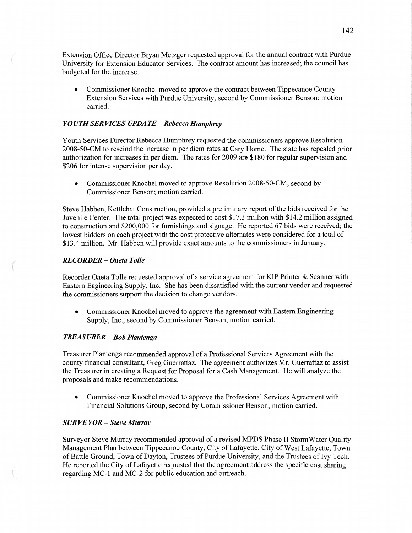Extension Office Director Bryan Metzger requested approval for the annual contract with Purdue University for Extension Educator Services. The contract amount has increased; the council has budgeted for the increase.

**0** Commissioner Knochel moved to approve the contract between Tippecanoe County Extension Services with Purdue University, second by Commissioner Benson; motion carried.

#### *Y 0 U* TH SER *VICES UPDA* TE **—** *Rebecca Humphrey*

Youth Services Director Rebecca Humphrey requested the commissioners approve Resolution 2008-50-CM to rescind the increase in per diem rates at Cary Home. The state has repealed prior authorization for increases in per diem. The rates for 2009 are \$180 for regular supervision and \$206 for intense supervision per **day.** 

• Commissioner Knochel moved to approve Resolution 2008-50-CM, second by Commissioner Benson; motion carried.

Steve Habben, Kettlehut Construction, provided a preliminary report of the bids received for the Juvenile Center. The total project was expected to cost \$17.3 million with \$14.2 million assigned to construction and \$200,000 for furnishings and signage. He reported 67 bids were received; the lowest bidders on each project with the cost protective alternates were considered for a total of \$13.4 million. Mr. Habben will provide exact amounts to the commissioners in January.

## *RECORDER* **—** *Oneta Tolle*

Recorder Oneta Tolle requested approval of a service agreement for KIP Printer & Scanner with Eastern Engineering Supply, Inc. She has been dissatisfied with the current vendor and requested the commissioners support the decision to change vendors.

**0** Commissioner Knochel moved to approve the agreement with Eastern Engineering Supply, Inc., second by Commissioner Benson; motion carried.

#### *TREASURER* — Bob *Plantenga*

Treasurer Plantenga recommended approval of a Professional Services Agreement With the county financial consultant, Greg Guerrattaz. The agreement authorizes Mr. Guerrattaz to assist the Treasurer in creating a Request for Proposal for a Cash Management. He will analyze the proposals and make recommendations.

**0** Commissioner Knochel moved to approve the Professional Services Agreement with Financial Solutions Group, second by Commissioner Benson; **motion** carried.

#### SUR *VEYOR* **—** *Steve Murray*

Surveyor Steve Murray recommended approval of a revised MPDS Phase II StormWater Quality Management Plan between Tippecanoe County, City of Lafayette, City of West Lafayette, Town of Battle Ground, Town of Dayton, Trustees of Purdue University, and the Trustees of Ivy **Tech.**  He reported the City of Lafayette requested that the agreement address the specific cost sharing regarding MC-l and MC-2 for public education and outreach.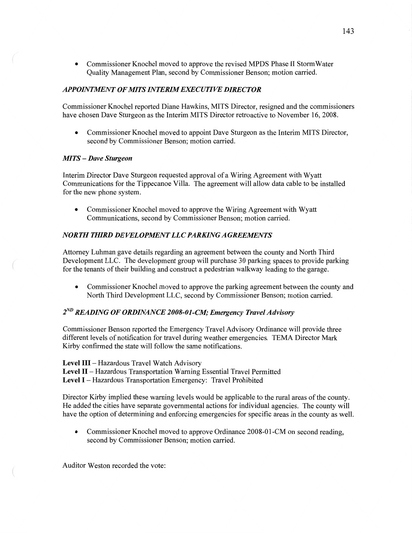**0** Commissioner Knochel moved to approve the revised MPDS Phase II StormWater Quality Management **Plan,** second by Commissioner Benson; motion carried.

# *APPOINIMNT* 0F MT *S INIFRZMEHCUHVE DIRECTOR*

Commissioner Knochel reported Diane Hawkins, **MITS** Director, resigned and the commissioners have chosen Dave Sturgeon as the Interim MITS Director retroactive to November 16, **2008.** 

**0** Commissioner Knochel moved to appoint Dave Sturgeon as the **Interim** MITS Director, second by Commissioner Benson; motion carried.

#### MTS **—** *Dave Sturgeon*

Interim Director Dave Sturgeon requested approval of a Wiring Agreement with Wyatt Communications for the Tippecanoe **Villa.** The agreement will allow data cable to be installed for the new phone **system.** 

**0** Commissioner Knochel moved to approve the Wiring Agreement with Wyatt Communications, second by Commissioner Benson; motion carried.

# *NORTH THIRD DEVELOPMENT LLC PARKING AGREEMENTS*

Attorney Luhman gave details regarding an agreement between the county and North **Third**  Development LLC. The development group will purchase 30 parking spaces to provide parking for the tenants of their building and construct a pedestrian walkway leading to the garage.

• Commissioner Knochel moved to approve the parking agreement between the county and North **Third** Development **LLC,** second by Commissioner Benson; motion **carried.** 

# 2<sup>ND</sup> READING OF ORDINANCE 2008-01-CM; Emergency Travel Advisory

Commissioner Benson reported the Emergency Travel Advisory Ordinance will provide three different levels of notification for travel during weather emergencies. TEMA Director **Mark**  Kirby confirmed the state will follow the same notifications.

**Level** III — Hazardous Travel Watch Advisory

**Level** II **—** Hazardous Transportation Warning Essential Travel Permitted **Level** I *—* Hazardous Transportation Emergency: Travel Prohibited

Director Kirby implied these warning levels would be applicable to the rural areas of the county. He added the cities have separate governmental actions for individual agencies. The county will have the option of determining and enforcing emergencies for specific areas in the county as well.

**0** Commissioner Knochel moved to approve Ordinance 2008-01-CM on second reading, second by Commissioner Benson; motion carried.

Auditor Weston recorded the vote: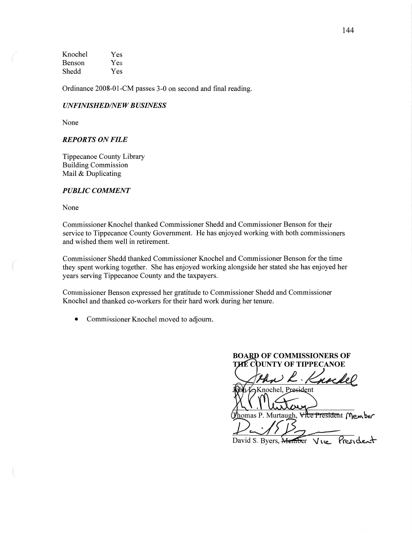Knochel Yes Benson Yes Shedd Yes

Ordinance 2008-01-CM passes 3-0 on second and final reading.

#### *UNFINISHED/NEWBUSINESS*

None

## *REPORTS* ON *FILE*

Tippecanoe County Library Building Commission Mail & Duplicating

#### $PUBLIC$  *COMMENT*

None

Commissioner Knochel **thanked Commissioner Shedd** and Commissioner Benson for their service to Tippecanoe County Government. He has enjoyed working with both commissioners and wished them well in retirement.

Commissioner Shedd thanked Commissioner Knochel and Commissioner Benson for the time they spent working together. She has enjoyed working alongside her stated she has enjoyed her years serving Tippecanoe County and the taxpayers.

Commissioner Benson expressed her gratitude to Commissioner Shedd and Commissioner Knochel and thanked co-workers for their hard work during her **tenure.** 

**0** Commissioner **Knochel moved** to **adjourn.** 

**BOARD OF COMMISSIONERS OF THE COUNTY OF TIPPECANOE** 

Knochel, President

omas P. Murtaugh, <del>Vice Presiden</del>t Member

David S. Byers, Member